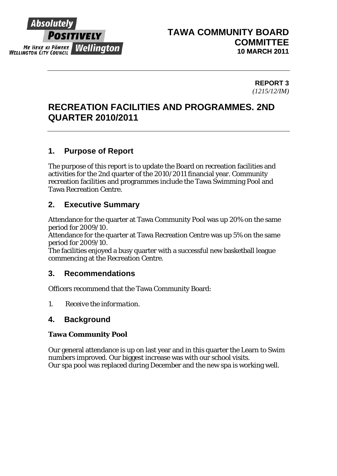

# **TAWA COMMUNITY BOARD COMMITTEE 10 MARCH 2011**

### **REPORT 3**  *(1215/12/IM)*

# **RECREATION FACILITIES AND PROGRAMMES. 2ND QUARTER 2010/2011**

# **1. Purpose of Report**

The purpose of this report is to update the Board on recreation facilities and activities for the 2nd quarter of the 2010/2011 financial year. Community recreation facilities and programmes include the Tawa Swimming Pool and Tawa Recreation Centre.

# **2. Executive Summary**

Attendance for the quarter at Tawa Community Pool was up 20% on the same period for 2009/10.

Attendance for the quarter at Tawa Recreation Centre was up 5% on the same period for 2009/10.

The facilities enjoyed a busy quarter with a successful new basketball league commencing at the Recreation Centre.

# **3. Recommendations**

Officers recommend that the Tawa Community Board:

*1. Receive the information.* 

# **4. Background**

## **Tawa Community Pool**

Our general attendance is up on last year and in this quarter the Learn to Swim numbers improved. Our biggest increase was with our school visits. Our spa pool was replaced during December and the new spa is working well.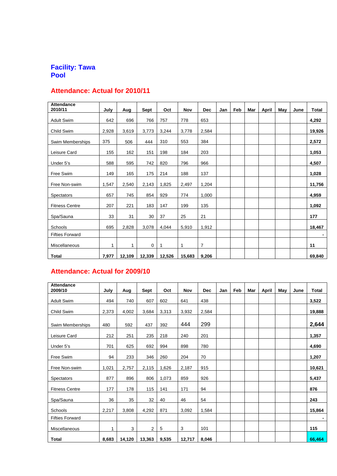#### **Facility: Tawa Pool**

### **Attendance: Actual for 2010/11**

| <b>Attendance</b><br>2010/11 | July  | Aug    | Sept   | Oct    | Nov    | <b>Dec</b>     | Jan | Feb | Mar | <b>April</b> | May | June | <b>Total</b> |
|------------------------------|-------|--------|--------|--------|--------|----------------|-----|-----|-----|--------------|-----|------|--------------|
|                              | 642   | 696    | 766    | 757    |        |                |     |     |     |              |     |      |              |
| <b>Adult Swim</b>            |       |        |        |        | 778    | 653            |     |     |     |              |     |      | 4,292        |
| Child Swim                   | 2,928 | 3,619  | 3,773  | 3,244  | 3,778  | 2,584          |     |     |     |              |     |      | 19,926       |
| Swim Memberships             | 375   | 506    | 444    | 310    | 553    | 384            |     |     |     |              |     |      | 2,572        |
| Leisure Card                 | 155   | 162    | 151    | 198    | 184    | 203            |     |     |     |              |     |      | 1,053        |
| Under 5's                    | 588   | 595    | 742    | 820    | 796    | 966            |     |     |     |              |     |      | 4,507        |
| Free Swim                    | 149   | 165    | 175    | 214    | 188    | 137            |     |     |     |              |     |      | 1,028        |
| Free Non-swim                | 1,547 | 2,540  | 2,143  | 1,825  | 2,497  | 1,204          |     |     |     |              |     |      | 11,756       |
| Spectators                   | 657   | 745    | 854    | 929    | 774    | 1,000          |     |     |     |              |     |      | 4,959        |
| <b>Fitness Centre</b>        | 207   | 221    | 183    | 147    | 199    | 135            |     |     |     |              |     |      | 1,092        |
| Spa/Sauna                    | 33    | 31     | 30     | 37     | 25     | 21             |     |     |     |              |     |      | 177          |
| Schools                      | 695   | 2,828  | 3,078  | 4,044  | 5,910  | 1,912          |     |     |     |              |     |      | 18,467       |
| <b>Fifties Forward</b>       |       |        |        |        |        |                |     |     |     |              |     |      |              |
| <b>Miscellaneous</b>         | 1     | 1      | 0      | 1      | 1      | $\overline{7}$ |     |     |     |              |     |      | 11           |
| <b>Total</b>                 | 7,977 | 12,109 | 12,339 | 12,526 | 15,683 | 9,206          |     |     |     |              |     |      | 69,840       |

# **Attendance: Actual for 2009/10**

| <b>Attendance</b><br>2009/10 | July  | Aug    | <b>Sept</b>    | Oct   | <b>Nov</b> | <b>Dec</b> | Jan | Feb | Mar | April | May | June | <b>Total</b> |
|------------------------------|-------|--------|----------------|-------|------------|------------|-----|-----|-----|-------|-----|------|--------------|
|                              |       |        |                |       |            |            |     |     |     |       |     |      |              |
| <b>Adult Swim</b>            | 494   | 740    | 607            | 602   | 641        | 438        |     |     |     |       |     |      | 3,522        |
| Child Swim                   | 2,373 | 4,002  | 3,684          | 3,313 | 3,932      | 2,584      |     |     |     |       |     |      | 19,888       |
| Swim Memberships             | 480   | 592    | 437            | 392   | 444        | 299        |     |     |     |       |     |      | 2,644        |
| Leisure Card                 | 212   | 251    | 235            | 218   | 240        | 201        |     |     |     |       |     |      | 1,357        |
| Under 5's                    | 701   | 625    | 692            | 994   | 898        | 780        |     |     |     |       |     |      | 4,690        |
| Free Swim                    | 94    | 233    | 346            | 260   | 204        | 70         |     |     |     |       |     |      | 1,207        |
| Free Non-swim                | 1,021 | 2,757  | 2,115          | 1,626 | 2,187      | 915        |     |     |     |       |     |      | 10,621       |
| Spectators                   | 877   | 896    | 806            | 1,073 | 859        | 926        |     |     |     |       |     |      | 5,437        |
| <b>Fitness Centre</b>        | 177   | 178    | 115            | 141   | 171        | 94         |     |     |     |       |     |      | 876          |
| Spa/Sauna                    | 36    | 35     | 32             | 40    | 46         | 54         |     |     |     |       |     |      | 243          |
| Schools                      | 2,217 | 3,808  | 4,292          | 871   | 3,092      | 1,584      |     |     |     |       |     |      | 15,864       |
| <b>Fifties Forward</b>       |       |        |                |       |            |            |     |     |     |       |     |      |              |
| Miscellaneous                | 1     | 3      | $\overline{2}$ | 5     | 3          | 101        |     |     |     |       |     |      | 115          |
| <b>Total</b>                 | 8,683 | 14,120 | 13,363         | 9,535 | 12,717     | 8,046      |     |     |     |       |     |      | 66,464       |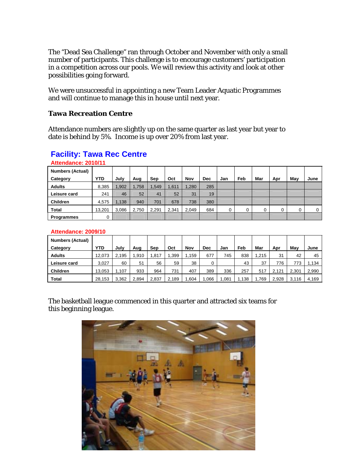The "Dead Sea Challenge" ran through October and November with only a small number of participants. This challenge is to encourage customers' participation in a competition across our pools. We will review this activity and look at other possibilities going forward.

We were unsuccessful in appointing a new Team Leader Aquatic Programmes and will continue to manage this in house until next year.

#### **Tawa Recreation Centre**

Attendance numbers are slightly up on the same quarter as last year but year to date is behind by 5%. Income is up over 20% from last year.

#### **Attendance: 2010/11 Numbers (Actual) Category YTD July Aug Sep Oct Nov Dec Jan Feb Mar Apr May June**  Adults 8,385 1,902 1,758 1,549 1,611 1,280 285 **Leisure card** 241 46 52 41 52 31 31 **Children 14,575 1,138 940 701 678 738 380 Total |** 13,201 | 3,086 | 2,750 | 2,291 | 2,341 | 2,049 | 684 | 0 | 0 | 0 | 0 | 0 | 0 | 0 **Programmes** 0

# **Facility: Tawa Rec Centre**

#### **Attendance: 2009/10**

| <b>Numbers (Actual)</b> |        |       |       |       |       |       |            |     |       |      |       |       |       |
|-------------------------|--------|-------|-------|-------|-------|-------|------------|-----|-------|------|-------|-------|-------|
| Category                | YTD    | July  | Aug   | Sep   | Oct   | Nov   | <b>Dec</b> | Jan | Feb   | Mar  | Apr   | Mav   | June  |
| <b>Adults</b>           | 12.073 | 2.195 | .910  | .817  | .399  | 1.159 | 677        | 745 | 838   | .215 | 31    | 42    | 45    |
| Leisure card            | 3,027  | 60    | 51    | 56    | 59    | 38    |            |     | 43    | 37   | 776   | 773   | 1,134 |
| <b>Children</b>         | 13.053 | ,107  | 933   | 964   | 731   | 407   | 389        | 336 | 257   | 517  | 2.121 | 2.301 | 2,990 |
| <b>Total</b>            | 28,153 | 3,362 | 2,894 | 2,837 | 2.189 | .604  | ,066       | 081 | . 138 | 769، | 2,928 | 3,116 | 4.169 |

The basketball league commenced in this quarter and attracted six teams for this beginning league.